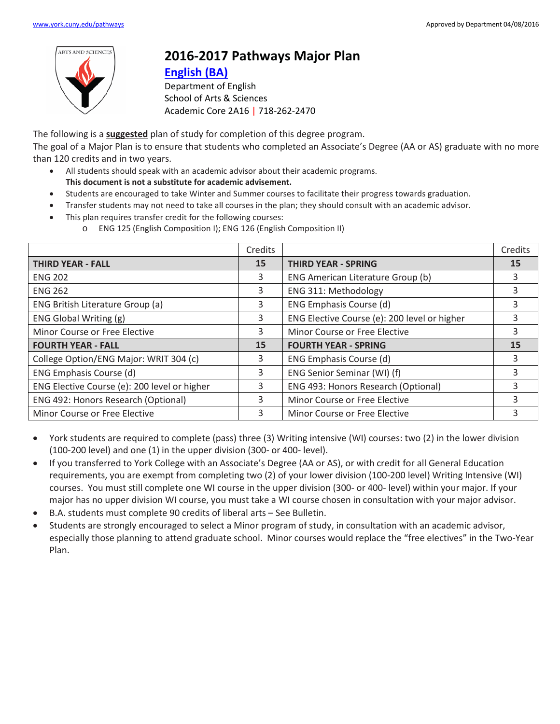

## **2016-2017 Pathways Major Plan**

## **[English](https://www.york.cuny.edu/produce-and-print/contents/bulletin/school-of-arts-and-sciences/english/english-ba) (BA)**

Department of English School of Arts & Sciences Academic Core 2A16 | 718-262-2470

The following is a **suggested** plan of study for completion of this degree program.

The goal of a Major Plan is to ensure that students who completed an Associate's Degree (AA or AS) graduate with no more than 120 credits and in two years.

- All students should speak with an academic advisor about their academic programs. **This document is not a substitute for academic advisement.**
- Students are encouraged to take Winter and Summer courses to facilitate their progress towards graduation.
- Transfer students may not need to take all courses in the plan; they should consult with an academic advisor.
- This plan requires transfer credit for the following courses:
	- o ENG 125 (English Composition I); ENG 126 (English Composition II)

|                                              | Credits |                                              | Credits |
|----------------------------------------------|---------|----------------------------------------------|---------|
| <b>THIRD YEAR - FALL</b>                     | 15      | <b>THIRD YEAR - SPRING</b>                   | 15      |
| <b>ENG 202</b>                               | 3       | ENG American Literature Group (b)            | 3       |
| <b>ENG 262</b>                               | 3       | ENG 311: Methodology                         | 3       |
| ENG British Literature Group (a)             | 3       | ENG Emphasis Course (d)                      | 3       |
| ENG Global Writing (g)                       | 3       | ENG Elective Course (e): 200 level or higher | 3       |
| Minor Course or Free Elective                | 3       | Minor Course or Free Elective                | 3       |
| <b>FOURTH YEAR - FALL</b>                    | 15      | <b>FOURTH YEAR - SPRING</b>                  | 15      |
| College Option/ENG Major: WRIT 304 (c)       | 3       | ENG Emphasis Course (d)                      | 3       |
| ENG Emphasis Course (d)                      | 3       | ENG Senior Seminar (WI) (f)                  | 3       |
| ENG Elective Course (e): 200 level or higher | 3       | ENG 493: Honors Research (Optional)          | 3       |
| ENG 492: Honors Research (Optional)          | 3       | Minor Course or Free Elective                | 3       |
| Minor Course or Free Elective                | 3       | Minor Course or Free Elective                | 3       |

- York students are required to complete (pass) three (3) Writing intensive (WI) courses: two (2) in the lower division (100-200 level) and one (1) in the upper division (300- or 400- level).
- If you transferred to York College with an Associate's Degree (AA or AS), or with credit for all General Education requirements, you are exempt from completing two (2) of your lower division (100-200 level) Writing Intensive (WI) courses. You must still complete one WI course in the upper division (300- or 400- level) within your major. If your major has no upper division WI course, you must take a WI course chosen in consultation with your major advisor.
- B.A. students must complete 90 credits of liberal arts See Bulletin.
- Students are strongly encouraged to select a Minor program of study, in consultation with an academic advisor, especially those planning to attend graduate school. Minor courses would replace the "free electives" in the Two-Year Plan.